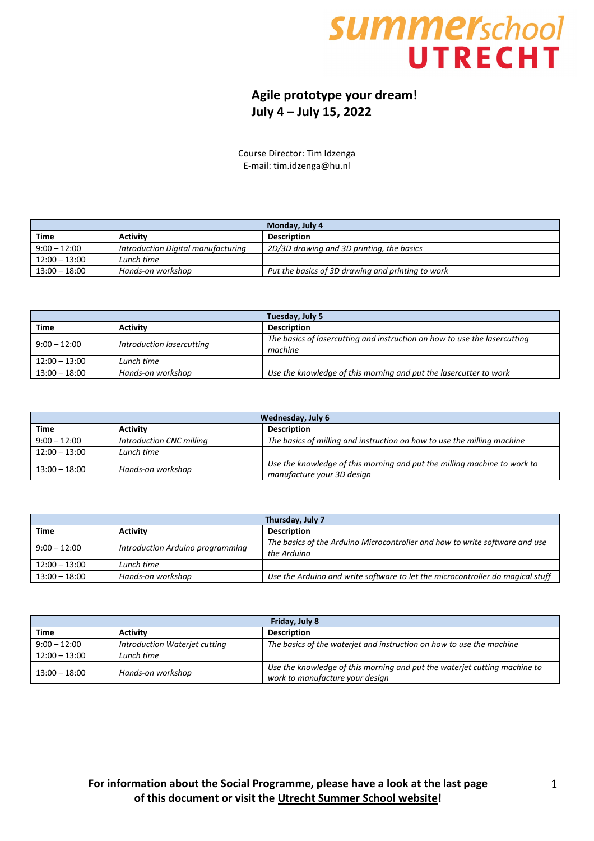## **SUMMerschool UTRECHT**

## **Agile prototype your dream! July 4 – July 15, 2022**

Course Director: Tim Idzenga E-mail: tim.idzenga@hu.nl

| Monday, July 4                     |                                                   |  |
|------------------------------------|---------------------------------------------------|--|
| <b>Activity</b>                    | <b>Description</b>                                |  |
| Introduction Digital manufacturing | 2D/3D drawing and 3D printing, the basics         |  |
| Lunch time                         |                                                   |  |
| Hands-on workshop                  | Put the basics of 3D drawing and printing to work |  |
|                                    |                                                   |  |

| Tuesday, July 5 |                           |                                                                                      |
|-----------------|---------------------------|--------------------------------------------------------------------------------------|
| Time            | <b>Activity</b>           | <b>Description</b>                                                                   |
| $9:00 - 12:00$  | Introduction lasercutting | The basics of lasercutting and instruction on how to use the lasercutting<br>machine |
| $12:00 - 13:00$ | Lunch time                |                                                                                      |
| $13:00 - 18:00$ | Hands-on workshop         | Use the knowledge of this morning and put the lasercutter to work                    |

| Wednesday, July 6                    |                          |                                                                          |
|--------------------------------------|--------------------------|--------------------------------------------------------------------------|
| Time                                 | <b>Activity</b>          | <b>Description</b>                                                       |
| $9:00 - 12:00$                       | Introduction CNC milling | The basics of milling and instruction on how to use the milling machine  |
| $12:00 - 13:00$                      | Lunch time               |                                                                          |
| Hands-on workshop<br>$13:00 - 18:00$ |                          | Use the knowledge of this morning and put the milling machine to work to |
|                                      |                          | manufacture your 3D design                                               |

| Thursday, July 7 |                                  |                                                                                            |
|------------------|----------------------------------|--------------------------------------------------------------------------------------------|
| <b>Time</b>      | <b>Activity</b>                  | <b>Description</b>                                                                         |
| $9:00 - 12:00$   | Introduction Arduino programming | The basics of the Arduino Microcontroller and how to write software and use<br>the Arduino |
| $12:00 - 13:00$  | Lunch time                       |                                                                                            |
| $13:00-18:00$    | Hands-on workshop                | Use the Arduino and write software to let the microcontroller do magical stuff             |

| Friday, July 8  |                               |                                                                                                              |
|-----------------|-------------------------------|--------------------------------------------------------------------------------------------------------------|
| <b>Time</b>     | <b>Activity</b>               | <b>Description</b>                                                                                           |
| $9:00 - 12:00$  | Introduction Waterjet cutting | The basics of the waterjet and instruction on how to use the machine                                         |
| $12:00 - 13:00$ | Lunch time                    |                                                                                                              |
| $13:00 - 18:00$ | Hands-on workshop             | Use the knowledge of this morning and put the waterjet cutting machine to<br>work to manufacture your design |

## **For information about the Social Programme, please have a look at the last page of this document or visit the [Utrecht Summer School website!](http://www.utrechtsummerschool.nl/index.php?type=content&page=socialprogramme)**